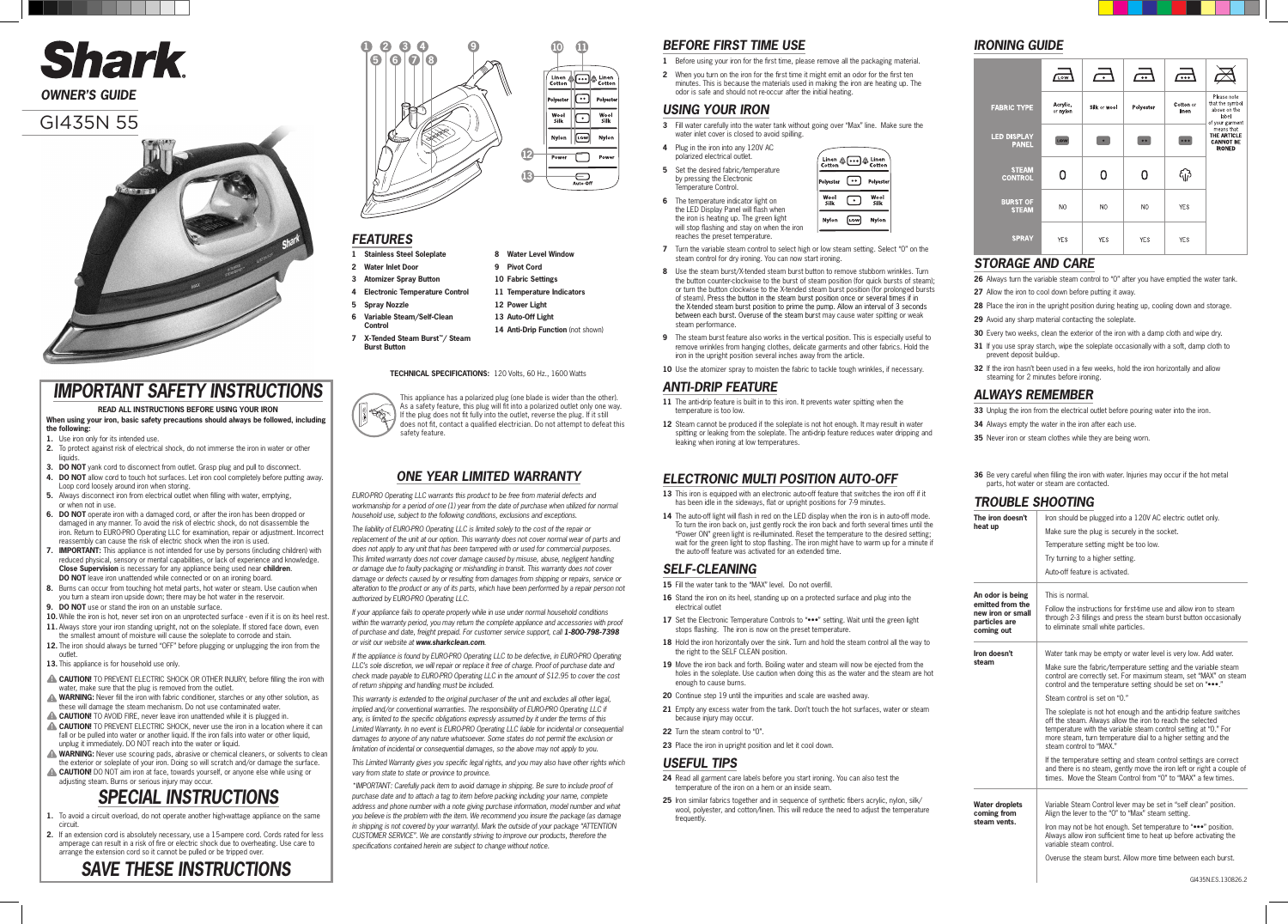### GI435N 55



**TECHNICAL SPECIFICATIONS:** 120 Volts, 60 Hz., 1600 Watts



# Shark

*OWNER'S GUIDE*

- **1 Stainless Steel Soleplate**
- **2 Water Inlet Door**
- **3 Atomizer Spray Button**
- **4 Electronic Temperature Control**
- **5 Spray Nozzle**
- **6 Variable Steam/Self-Clean Control**
- **7 X-Tended Steam Burst™/ Steam Burst Button**

 **Water Level Window 9 Pivot Cord Fabric Settings Temperature Indicators** 

14 Anti-Drip Function (not shown)

**12 Power Light 13 Auto-Off Light**

- **3** Fill water carefully into the water tank without going over "Max" line. Make sure the water inlet cover is closed to avoid spilling.
- **4** Plug in the iron into any 120V AC polarized electrical outlet.
- **5** Set the desired fabric/temperature by pressing the Electronic Temperature Control.
- **6** The temperature indicator light on the LED Display Panel will flash when the iron is heating up. The green light will stop flashing and stay on when the iron reaches the preset temperature.
- $\boxed{...}$ Polves Wool<br>Silk  $\Box$ Wool<br>Silk  $[\overline{\text{row}}]$ **Nvlon** Nvlor

Linen & <br>Cotton & Cotto

### *BEFORE FIRST TIME USE*

- **1** Before using your iron for the first time, please remove all the packaging material.
- **2** When you turn on the iron for the first time it might emit an odor for the first ten minutes. This is because the materials used in making the iron are heating up. The odor is safe and should not re-occur after the initial heating.

### *USING YOUR IRON*

- **7** Turn the variable steam control to select high or low steam setting. Select "0" on the steam control for dry ironing. You can now start ironing.
- **8** Use the steam burst/X-tended steam burst button to remove stubborn wrinkles. Turn the button counter-clockwise to the burst of steam position (for quick bursts of steam); or turn the button clockwise to the X-tended steam burst position (for prolonged bursts of steam). Press the button in the steam burst position once or several times if in the X-tended steam burst position to prime the pump. Allow an interval of 3 seconds between each burst. Overuse of the steam burst may cause water spitting or weak steam performance.
- **9** The steam burst feature also works in the vertical position. This is especially useful to remove wrinkles from hanging clothes, delicate garments and other fabrics. Hold the iron in the upright position several inches away from the article.

10 Use the atomizer spray to moisten the fabric to tackle tough wrinkles, if necessary.

### *ANTI-DRIP FEATURE*

- **11** The anti-drip feature is built in to this iron. It prevents water spitting when the temperature is too low.
- **12** Steam cannot be produced if the soleplate is not hot enough. It may result in water spitting or leaking from the soleplate. The anti-drip feature reduces water dripping and leaking when ironing at low temperatures.

### *ELECTRONIC MULTI POSITION AUTO-OFF*

- **13** This iron is equipped with an electronic auto-off feature that switches the iron off if it has been idle in the sideways, flat or upright positions for 7-9 minutes.
- 14 The auto-off light will flash in red on the LED display when the iron is in auto-off mode. To turn the iron back on, just gently rock the iron back and forth several times until the "Power ON" green light is re-illuminated. Reset the temperature to the desired setting; wait for the green light to stop flashing. The iron might have to warm up for a minute if the auto-off feature was activated for an extended time.

### *SELF-CLEANING*

- 15 Fill the water tank to the "MAX" level. Do not overfill.
- **16** Stand the iron on its heel, standing up on a protected surface and plug into the electrical outlet
- 17 Set the Electronic Temperature Controls to "•••" setting. Wait until the green light stops flashing. The iron is now on the preset temperature.
- 18 Hold the iron horizontally over the sink. Turn and hold the steam control all the way to the right to the SELF CLEAN position.
- **19** Move the iron back and forth. Boiling water and steam will now be ejected from the holes in the soleplate. Use caution when doing this as the water and the steam are hot enough to cause burns.
- **20** Continue step 19 until the impurities and scale are washed away.
- **21** Empty any excess water from the tank. Don't touch the hot surfaces, water or steam because injury may occur.
- **22** Turn the steam control to "0".
	- 23 Place the iron in upright position and let it cool down.

### *USEFUL TIPS*

- **24** Read all garment care labels before you start ironing. You can also test the temperature of the iron on a hem or an inside seam.
- **25** Iron similar fabrics together and in sequence of synthetic fibers acrylic, nylon, silk/ wool, polyester, and cotton/linen. This will reduce the need to adjust the temperature frequently.

### *IRONING GUIDE*

|                                    | LOW                  | $\overline{\phantom{a}}$ | $\overline{\bullet}$ | $\overline{\cdots}$ |                                                                            |
|------------------------------------|----------------------|--------------------------|----------------------|---------------------|----------------------------------------------------------------------------|
| <b>FABRIC TYPE</b>                 | Acrylic,<br>or nylon | Silk or wool             | Polyester            | Cotton or<br>linen  | Please note<br>that the symbol<br>above on the<br>label<br>of your garment |
| <b>LED DISPLAY</b><br><b>PANEL</b> | LOW                  |                          | $\bullet$            | • • •               | means that<br>THE ARTICLE<br><b>CANNOT BE</b><br><b>IRONED</b>             |
| <b>STEAM</b><br><b>CONTROL</b>     | O                    |                          |                      | ٦P                  |                                                                            |
| <b>BURST OF</b><br><b>STEAM</b>    | N <sub>O</sub>       | NO.                      | NO.                  | <b>YES</b>          |                                                                            |
| <b>SPRAY</b>                       | <b>YES</b>           | <b>YES</b>               | <b>YES</b>           | <b>YES</b>          |                                                                            |

### *FEATURES*

#### *STORAGE AND CARE*

- **26** Always turn the variable steam control to "0" after you have emptied the water tank.
- **27** Allow the iron to cool down before putting it away.
- 28 Place the iron in the upright position during heating up, cooling down and storage.
- **29** Avoid any sharp material contacting the soleplate.
- **30** Every two weeks, clean the exterior of the iron with a damp cloth and wipe dry.
- **31** If you use spray starch, wipe the soleplate occasionally with a soft, damp cloth to prevent deposit build-up.
- **32** If the iron hasn't been used in a few weeks, hold the iron horizontally and allow steaming for 2 minutes before ironing.

### *ALWAYS REMEMBER*

- **33** Unplug the iron from the electrical outlet before pouring water into the iron.
- **34** Always empty the water in the iron after each use.
- **35** Never iron or steam clothes while they are being worn.
- **36** Be very careful when filling the iron with water. Injuries may occur if the hot metal parts, hot water or steam are contacted.

### *TROUBLE SHOOTING*

This appliance has a polarized plug (one blade is wider than the other). As a safety feature, this plug will fit into a polarized outlet only one way. If the plug does not fit fully into the outlet, reverse the plug. If it still does not fit, contact a qualified electrician. Do not attempt to defeat this safety feature.



| The iron doesn't<br>heat up                                                              | Iron should be plugged into a 120V AC electric outlet only.                                                                                                                                                                                                                                     |  |  |  |  |
|------------------------------------------------------------------------------------------|-------------------------------------------------------------------------------------------------------------------------------------------------------------------------------------------------------------------------------------------------------------------------------------------------|--|--|--|--|
|                                                                                          | Make sure the plug is securely in the socket.                                                                                                                                                                                                                                                   |  |  |  |  |
|                                                                                          | Temperature setting might be too low.                                                                                                                                                                                                                                                           |  |  |  |  |
|                                                                                          | Try turning to a higher setting.                                                                                                                                                                                                                                                                |  |  |  |  |
|                                                                                          | Auto-off feature is activated.                                                                                                                                                                                                                                                                  |  |  |  |  |
| An odor is being<br>emitted from the<br>new iron or small<br>particles are<br>coming out | This is normal.                                                                                                                                                                                                                                                                                 |  |  |  |  |
|                                                                                          | Follow the instructions for first-time use and allow iron to steam<br>through 2-3 fillings and press the steam burst button occasionally<br>to eliminate small white particles.                                                                                                                 |  |  |  |  |
| Iron doesn't<br>steam                                                                    | Water tank may be empty or water level is very low. Add water.                                                                                                                                                                                                                                  |  |  |  |  |
|                                                                                          | Make sure the fabric/temperature setting and the variable steam<br>control are correctly set. For maximum steam, set "MAX" on steam<br>control and the temperature setting should be set on ""                                                                                                  |  |  |  |  |
|                                                                                          | Steam control is set on "0."                                                                                                                                                                                                                                                                    |  |  |  |  |
|                                                                                          | The soleplate is not hot enough and the anti-drip feature switches<br>off the steam. Always allow the iron to reach the selected<br>temperature with the variable steam control setting at "0." For<br>more steam, turn temperature dial to a higher setting and the<br>steam control to "MAX." |  |  |  |  |
|                                                                                          | If the temperature setting and steam control settings are correct<br>and there is no steam, gently move the iron left or right a couple of<br>times. Move the Steam Control from "0" to "MAX" a few times.                                                                                      |  |  |  |  |
| <b>Water droplets</b><br>coming from                                                     | Variable Steam Control lever may be set in "self clean" position.<br>Align the lever to the "0" to "Max" steam setting.                                                                                                                                                                         |  |  |  |  |
| steam vents.                                                                             | Iron may not be hot enough. Set temperature to " " position.<br>Always allow iron sufficient time to heat up before activating the<br>variable steam control.                                                                                                                                   |  |  |  |  |
|                                                                                          | Overuse the steam burst. Allow more time between each burst.                                                                                                                                                                                                                                    |  |  |  |  |
|                                                                                          |                                                                                                                                                                                                                                                                                                 |  |  |  |  |

### *ONE YEAR LIMITED WARRANTY*

*EURO-PRO Operating LLC warrants this product to be free from material defects and workmanship for a period of one (1) year from the date of purchase when utilized for normal household use, subject to the following conditions, exclusions and exceptions.*

*The liability of EURO-PRO Operating LLC is limited solely to the cost of the repair or replacement of the unit at our option. This warranty does not cover normal wear of parts and does not apply to any unit that has been tampered with or used for commercial purposes. This limited warranty does not cover damage caused by misuse, abuse, negligent handling or damage due to faulty packaging or mishandling in transit. This warranty does not cover damage or defects caused by or resulting from damages from shipping or repairs, service or alteration to the product or any of its parts, which have been performed by a repair person not authorized by EURO-PRO Operating LLC.*

*If your appliance fails to operate properly while in use under normal household conditions*  within the warranty period, you may return the complete appliance and accessories with proof of purchase and date, freight prepaid. For customer service support, call 1-800-798-7398 *or visit our website at www.sharkclean.com.*

*If the appliance is found by EURO-PRO Operating LLC to be defective, in EURO-PRO Operating LLC's sole discretion, we will repair or replace it free of charge. Proof of purchase date and check made payable to EURO-PRO Operating LLC in the amount of \$12.95 to cover the cost of return shipping and handling must be included.*

*This warranty is extended to the original purchaser of the unit and excludes all other legal, implied and/or conventional warranties. The responsibility of EURO-PRO Operating LLC if any, is limited to the specific obligations expressly assumed by it under the terms of this Limited Warranty. In no event is EURO-PRO Operating LLC liable for incidental or consequential damages to anyone of any nature whatsoever. Some states do not permit the exclusion or limitation of incidental or consequential damages, so the above may not apply to you.*

*This Limited Warranty gives you specific legal rights, and you may also have other rights which vary from state to state or province to province.* 

*\*IMPORTANT: Carefully pack item to avoid damage in shipping. Be sure to include proof of purchase date and to attach a tag to item before packing including your name, complete address and phone number with a note giving purchase information, model number and what you believe is the problem with the item. We recommend you insure the package (as damage in shipping is not covered by your warranty). Mark the outside of your package "ATTENTION CUSTOMER SERVICE". We are constantly striving to improve our products, therefore the specifications contained herein are subject to change without notice.*

## *SAVE THESE INSTRUCTIONS*

# *SPECIAL INSTRUCTIONS*

- **1.** To avoid a circuit overload, do not operate another high-wattage appliance on the same circuit.
- **2.** If an extension cord is absolutely necessary, use a 15-ampere cord. Cords rated for less amperage can result in a risk of fire or electric shock due to overheating. Use care to arrange the extension cord so it cannot be pulled or be tripped over.
- **the following: 1.** Use iron only for its intended use.
- **2.** To protect against risk of electrical shock, do not immerse the iron in water or other liquids.
- **3. DO NOT** yank cord to disconnect from outlet. Grasp plug and pull to disconnect.
- **4. DO NOT** allow cord to touch hot surfaces. Let iron cool completely before putting away. Loop cord loosely around iron when storing.
- **5.** Always disconnect iron from electrical outlet when filling with water, emptying, or when not in use.
- **6. DO NOT** operate iron with a damaged cord, or after the iron has been dropped or damaged in any manner. To avoid the risk of electric shock, do not disassemble the iron. Return to EURO-PRO Operating LLC for examination, repair or adjustment. Incorrect reassembly can cause the risk of electric shock when the iron is used.
- **7. IMPORTANT:** This appliance is not intended for use by persons (including children) with reduced physical, sensory or mental capabilities, or lack of experience and knowledge. **Close Supervision** is necessary for any appliance being used near **children**. **DO NOT** leave iron unattended while connected or on an ironing board.
- **8.** Burns can occur from touching hot metal parts, hot water or steam. Use caution when you turn a steam iron upside down; there may be hot water in the reservoir.
- **9. DO NOT** use or stand the iron on an unstable surface.
- **10.** While the iron is hot, never set iron on an unprotected surface even if it is on its heel rest.
- 11. Always store your iron standing upright, not on the soleplate. If stored face down, even the smallest amount of moisture will cause the soleplate to corrode and stain.
- 12. The iron should always be turned "OFF" before plugging or unplugging the iron from the outlet.
- **13.** This appliance is for household use only.
- **CAUTION!** TO PREVENT ELECTRIC SHOCK OR OTHER INJURY, before filling the iron with water, make sure that the plug is removed from the outlet.
- WARNING: Never fill the iron with fabric conditioner, starches or any other solution, as these will damage the steam mechanism. Do not use contaminated water.
- **CAUTION!** TO AVOID FIRE, never leave iron unattended while it is plugged in.
- **CAUTION!** TO PREVENT ELECTRIC SHOCK, never use the iron in a location where it can fall or be pulled into water or another liquid. If the iron falls into water or other liquid, unplug it immediately. DO NOT reach into the water or liquid.
- WARNING: Never use scouring pads, abrasive or chemical cleaners, or solvents to clean the exterior or soleplate of your iron. Doing so will scratch and/or damage the surface.
- **CAUTION!** DO NOT aim iron at face, towards yourself, or anyone else while using or adjusting steam. Burns or serious injury may occur.

### *IMPORTANT SAFETY INSTRUCTIONS*

**READ ALL INSTRUCTIONS BEFORE USING YOUR IRON When using your iron, basic safety precautions should always be followed, including**